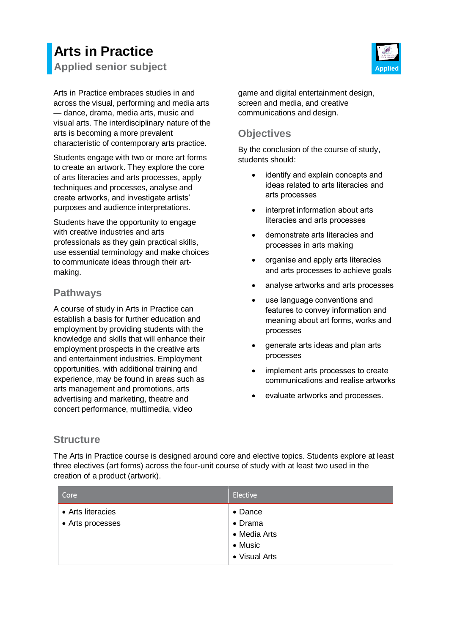# **Arts in Practice Applied senior subject Applied**

Arts in Practice embraces studies in and across the visual, performing and media arts — dance, drama, media arts, music and visual arts. The interdisciplinary nature of the arts is becoming a more prevalent characteristic of contemporary arts practice.

Students engage with two or more art forms to create an artwork. They explore the core of arts literacies and arts processes, apply techniques and processes, analyse and create artworks, and investigate artists' purposes and audience interpretations.

Students have the opportunity to engage with creative industries and arts professionals as they gain practical skills, use essential terminology and make choices to communicate ideas through their artmaking.

### **Pathways**

A course of study in Arts in Practice can establish a basis for further education and employment by providing students with the knowledge and skills that will enhance their employment prospects in the creative arts and entertainment industries. Employment opportunities, with additional training and experience, may be found in areas such as arts management and promotions, arts advertising and marketing, theatre and concert performance, multimedia, video

game and digital entertainment design, screen and media, and creative communications and design.

# **Objectives**

By the conclusion of the course of study, students should:

- identify and explain concepts and ideas related to arts literacies and arts processes
- interpret information about arts literacies and arts processes
- demonstrate arts literacies and processes in arts making
- organise and apply arts literacies and arts processes to achieve goals
- analyse artworks and arts processes
- use language conventions and features to convey information and meaning about art forms, works and processes
- generate arts ideas and plan arts processes
- implement arts processes to create communications and realise artworks
- evaluate artworks and processes.

# **Structure**

The Arts in Practice course is designed around core and elective topics. Students explore at least three electives (art forms) across the four-unit course of study with at least two used in the creation of a product (artwork).

| Core                                  | Elective                                                               |
|---------------------------------------|------------------------------------------------------------------------|
| • Arts literacies<br>• Arts processes | • Dance<br>• Drama<br>• Media Arts<br>$\bullet$ Music<br>• Visual Arts |